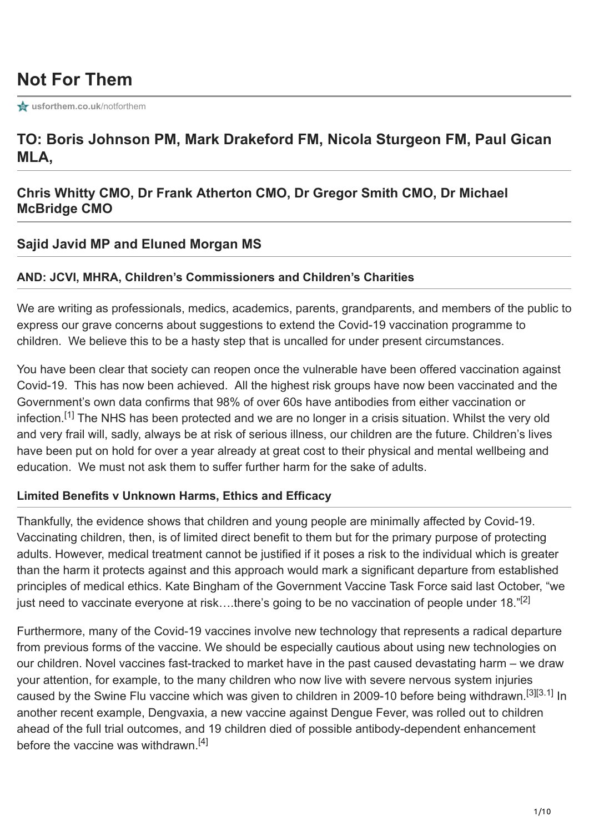# **Not For Them**

**[usforthem.co.uk](https://usforthem.co.uk/notforthem/)/notforthem** 

## **TO: Boris Johnson PM, Mark Drakeford FM, Nicola Sturgeon FM, Paul Gican MLA,**

## **Chris Whitty CMO, Dr Frank Atherton CMO, Dr Gregor Smith CMO, Dr Michael McBridge CMO**

#### **Sajid Javid MP and Eluned Morgan MS**

#### **AND: JCVI, MHRA, Children's Commissioners and Children's Charities**

We are writing as professionals, medics, academics, parents, grandparents, and members of the public to express our grave concerns about suggestions to extend the Covid-19 vaccination programme to children. We believe this to be a hasty step that is uncalled for under present circumstances.

You have been clear that society can reopen once the vulnerable have been offered vaccination against Covid-19. This has now been achieved. All the highest risk groups have now been vaccinated and the Government's own data confirms that 98% of over 60s have antibodies from either vaccination or infection.<sup>[\[1\]](https://assets.publishing.service.gov.uk/government/uploads/system/uploads/attachment_data/file/986361/Vaccine_surveillance__report__week_19.pdf)</sup> The NHS has been protected and we are no longer in a crisis situation. Whilst the very old and very frail will, sadly, always be at risk of serious illness, our children are the future. Children's lives have been put on hold for over a year already at great cost to their physical and mental wellbeing and education. We must not ask them to suffer further harm for the sake of adults.

#### **Limited Benefits v Unknown Harms, Ethics and Efficacy**

Thankfully, the evidence shows that children and young people are minimally affected by Covid-19. Vaccinating children, then, is of limited direct benefit to them but for the primary purpose of protecting adults. However, medical treatment cannot be justified if it poses a risk to the individual which is greater than the harm it protects against and this approach would mark a significant departure from established principles of medical ethics. Kate Bingham of the Government Vaccine Task Force said last October, "we just need to vaccinate everyone at risk....there's going to be no vaccination of people under 18."<sup>[\[2\]](https://www.ft.com/content/d2e00128-7889-4d5d-84a3-43e51355a751)</sup>

Furthermore, many of the Covid-19 vaccines involve new technology that represents a radical departure from previous forms of the vaccine. We should be especially cautious about using new technologies on our children. Novel vaccines fast-tracked to market have in the past caused devastating harm – we draw your attention, for example, to the many children who now live with severe nervous system injuries causedby the Swine Flu vaccine which was given to children in 2009-10 before being withdrawn.<sup>[3][3.1]</sup> In another recent example, Dengvaxia, a new vaccine against Dengue Fever, was rolled out to children ahead of the full trial outcomes, and 19 children died of possible antibody-dependent enhancement before the vaccine was withdrawn.<sup>[\[4\]](https://www.sciencemag.org/news/2019/04/dengue-vaccine-fiasco-leads-criminal-charges-researcher-philippines)</sup>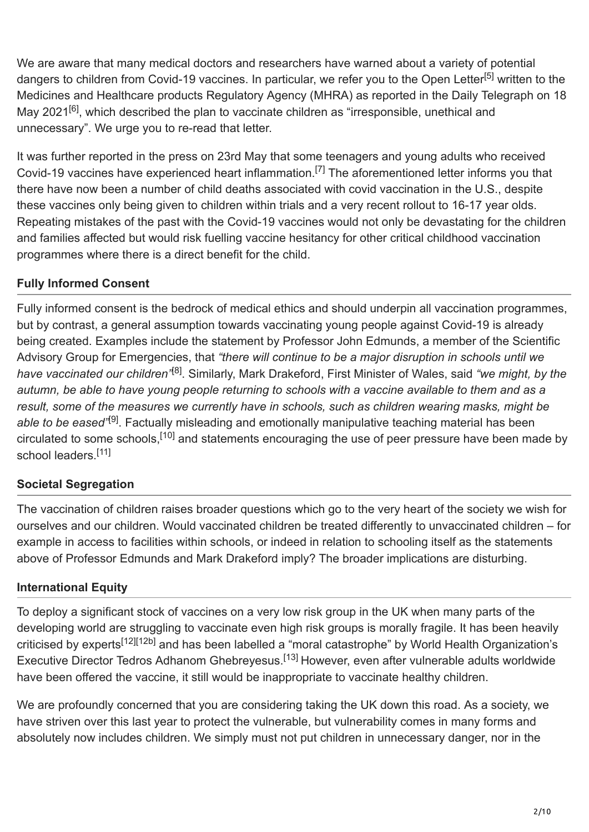We are aware that many medical doctors and researchers have warned about a variety of potential dangers to children from Covid-19 vaccines. In particular, we refer you to the Open Letter<sup>[5]</sup> written to the Medicines and Healthcare products Regulatory Agency (MHRA) as reported in the Daily Telegraph on 18 May 2021<sup>[\[6\]](https://www.telegraph.co.uk/news/2021/05/18/vaccine-roll-children-faces-backlash/)</sup>, which described the plan to vaccinate children as "irresponsible, unethical and unnecessary". We urge you to re-read that letter.

It was further reported in the press on 23rd May that some teenagers and young adults who received Covid-19vaccines have experienced heart inflammation.<sup>[7]</sup> The aforementioned letter informs you that there have now been a number of child deaths associated with covid vaccination in the U.S., despite these vaccines only being given to children within trials and a very recent rollout to 16-17 year olds. Repeating mistakes of the past with the Covid-19 vaccines would not only be devastating for the children and families affected but would risk fuelling vaccine hesitancy for other critical childhood vaccination programmes where there is a direct benefit for the child.

### **Fully Informed Consent**

Fully informed consent is the bedrock of medical ethics and should underpin all vaccination programmes, but by contrast, a general assumption towards vaccinating young people against Covid-19 is already being created. Examples include the statement by Professor John Edmunds, a member of the Scientific Advisory Group for Emergencies, that *"there will continue to be a major disruption in schools until we* have vaccinated our children<sup>,</sup><sup>[\[8\]](https://www.independent.co.uk/news/uk/politics/covid-vaccine-children-schools-open-b1805239.html)</sup>. Similarly, Mark Drakeford, First Minister of Wales, said "we might, by the *autumn, be able to have young people returning to schools with a vaccine available to them and as a result, some of the measures we currently have in schools, such as children wearing masks, might be* able to be eased<sup>"[\[9\]](https://www.walesonline.co.uk/news/wales-news/full-mark-drakeford-interview-indian-20595866)</sup>. Factually misleading and emotionally manipulative teaching material has been circulatedto some schools,<sup>[10]</sup> and statements encouraging the use of peer pressure have been made by school leaders.<sup>[\[11\]](https://www.telegraph.co.uk/news/2021/05/02/schools-back-mass-vaccinations-children-headteachers-say-peer/)</sup>

## **Societal Segregation**

The vaccination of children raises broader questions which go to the very heart of the society we wish for ourselves and our children. Would vaccinated children be treated differently to unvaccinated children – for example in access to facilities within schools, or indeed in relation to schooling itself as the statements above of Professor Edmunds and Mark Drakeford imply? The broader implications are disturbing.

#### **International Equity**

To deploy a significant stock of vaccines on a very low risk group in the UK when many parts of the developing world are struggling to vaccinate even high risk groups is morally fragile. It has been heavily critici[s](https://blogs.bmj.com/bmj/2021/05/07/covid-vaccines-for-children-should-not-get-emergency-use-authorization/?utm_source=twitter&utm_medium=social&utm_term=hootsuite&utm_content=sme&utm_campaign=usage)edby experts<sup>[12][12b]</sup> and has been labelled a "moral catastrophe" by World Health Organization's Executive Director Tedros Adhanom Ghebreyesus.<sup>[\[13\]](https://www.politico.eu/article/who-chief-vaccination-of-kids-a-moral-catastrophe-as-health-workers-await-jabs/)</sup> However, even after vulnerable adults worldwide have been offered the vaccine, it still would be inappropriate to vaccinate healthy children.

We are profoundly concerned that you are considering taking the UK down this road. As a society, we have striven over this last year to protect the vulnerable, but vulnerability comes in many forms and absolutely now includes children. We simply must not put children in unnecessary danger, nor in the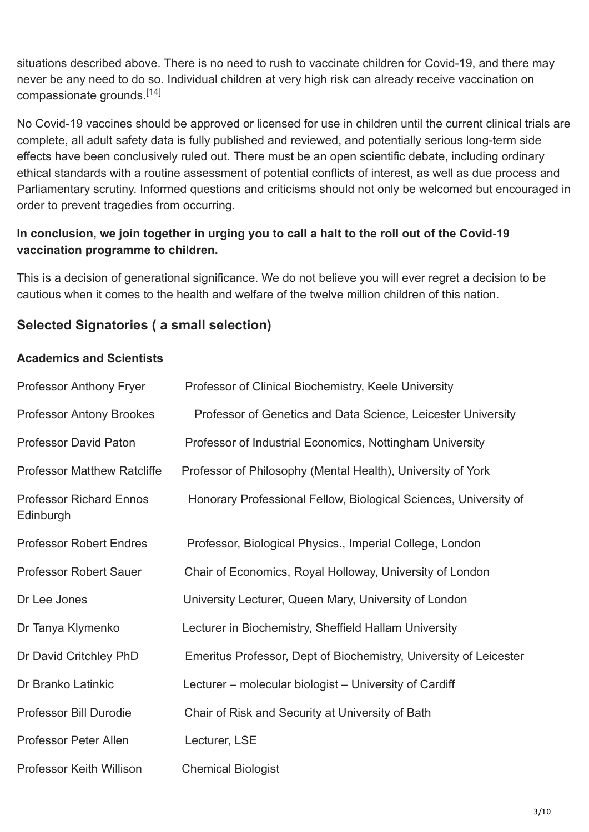situations described above. There is no need to rush to vaccinate children for Covid-19, and there may never be any need to do so. Individual children at very high risk can already receive vaccination on compassionate grounds. [\[14\]](https://www.gov.uk/government/publications/priority-groups-for-coronavirus-covid-19-vaccination-advice-from-the-jcvi-30-december-2020/joint-committee-on-vaccination-and-immunisation-advice-on-priority-groups-for-covid-19-vaccination-30-december-2020)

No Covid-19 vaccines should be approved or licensed for use in children until the current clinical trials are complete, all adult safety data is fully published and reviewed, and potentially serious long-term side effects have been conclusively ruled out. There must be an open scientific debate, including ordinary ethical standards with a routine assessment of potential conflicts of interest, as well as due process and Parliamentary scrutiny. Informed questions and criticisms should not only be welcomed but encouraged in order to prevent tragedies from occurring.

### **In conclusion, we join together in urging you to call a halt to the roll out of the Covid-19 vaccination programme to children.**

This is a decision of generational significance. We do not believe you will ever regret a decision to be cautious when it comes to the health and welfare of the twelve million children of this nation.

## **Selected Signatories ( a small selection)**

#### **Academics and Scientists**

| Professor Anthony Fryer                     | Professor of Clinical Biochemistry, Keele University              |
|---------------------------------------------|-------------------------------------------------------------------|
| <b>Professor Antony Brookes</b>             | Professor of Genetics and Data Science, Leicester University      |
| <b>Professor David Paton</b>                | Professor of Industrial Economics, Nottingham University          |
| <b>Professor Matthew Ratcliffe</b>          | Professor of Philosophy (Mental Health), University of York       |
| <b>Professor Richard Ennos</b><br>Edinburgh | Honorary Professional Fellow, Biological Sciences, University of  |
| <b>Professor Robert Endres</b>              | Professor, Biological Physics., Imperial College, London          |
| <b>Professor Robert Sauer</b>               | Chair of Economics, Royal Holloway, University of London          |
| Dr Lee Jones                                | University Lecturer, Queen Mary, University of London             |
| Dr Tanya Klymenko                           | Lecturer in Biochemistry, Sheffield Hallam University             |
| Dr David Critchley PhD                      | Emeritus Professor, Dept of Biochemistry, University of Leicester |
| Dr Branko Latinkic                          | Lecturer – molecular biologist – University of Cardiff            |
| Professor Bill Durodie                      | Chair of Risk and Security at University of Bath                  |
| <b>Professor Peter Allen</b>                | Lecturer, LSE                                                     |
| Professor Keith Willison                    | <b>Chemical Biologist</b>                                         |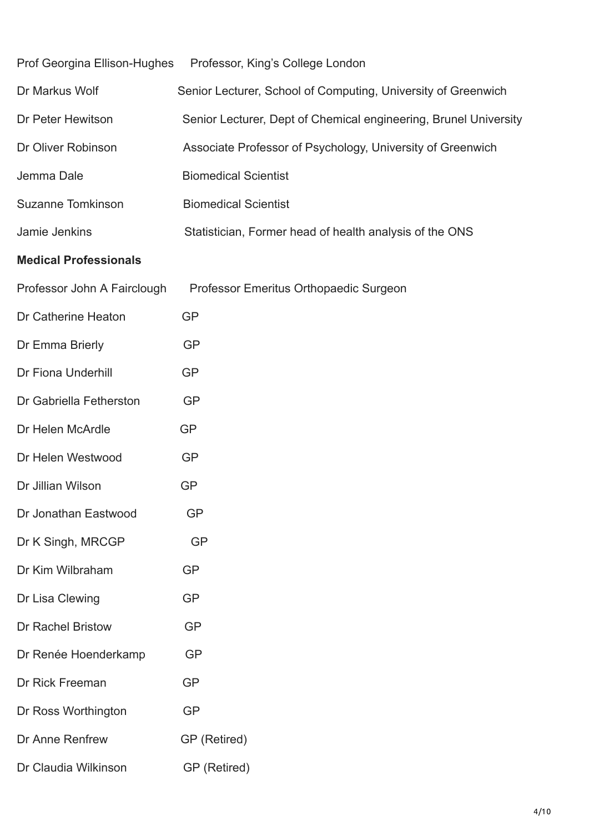| Prof Georgina Ellison-Hughes | Professor, King's College London                                 |
|------------------------------|------------------------------------------------------------------|
| Dr Markus Wolf               | Senior Lecturer, School of Computing, University of Greenwich    |
| Dr Peter Hewitson            | Senior Lecturer, Dept of Chemical engineering, Brunel University |
| Dr Oliver Robinson           | Associate Professor of Psychology, University of Greenwich       |
| Jemma Dale                   | <b>Biomedical Scientist</b>                                      |
| <b>Suzanne Tomkinson</b>     | <b>Biomedical Scientist</b>                                      |
| Jamie Jenkins                | Statistician, Former head of health analysis of the ONS          |
| <b>Medical Professionals</b> |                                                                  |
| Professor John A Fairclough  | Professor Emeritus Orthopaedic Surgeon                           |
| Dr Catherine Heaton          | <b>GP</b>                                                        |
| Dr Emma Brierly              | <b>GP</b>                                                        |
| <b>Dr Fiona Underhill</b>    | <b>GP</b>                                                        |
| Dr Gabriella Fetherston      | <b>GP</b>                                                        |
| Dr Helen McArdle             | <b>GP</b>                                                        |
| Dr Helen Westwood            | <b>GP</b>                                                        |
| Dr Jillian Wilson            | <b>GP</b>                                                        |
| Dr Jonathan Eastwood         | <b>GP</b>                                                        |
| Dr K Singh, MRCGP            | <b>GP</b>                                                        |
| Dr Kim Wilbraham             | <b>GP</b>                                                        |
| Dr Lisa Clewing              | <b>GP</b>                                                        |
| <b>Dr Rachel Bristow</b>     | <b>GP</b>                                                        |
| Dr Renée Hoenderkamp         | <b>GP</b>                                                        |
| Dr Rick Freeman              | <b>GP</b>                                                        |
| Dr Ross Worthington          | <b>GP</b>                                                        |
| Dr Anne Renfrew              | GP (Retired)                                                     |
| Dr Claudia Wilkinson         | GP (Retired)                                                     |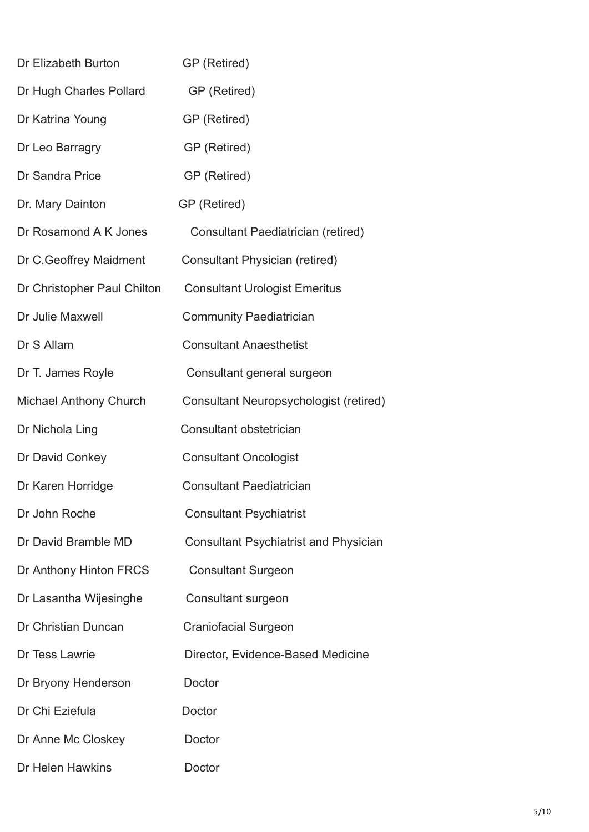| Dr Elizabeth Burton         | GP (Retired)                                 |
|-----------------------------|----------------------------------------------|
| Dr Hugh Charles Pollard     | GP (Retired)                                 |
| Dr Katrina Young            | GP (Retired)                                 |
| Dr Leo Barragry             | GP (Retired)                                 |
| Dr Sandra Price             | GP (Retired)                                 |
| Dr. Mary Dainton            | GP (Retired)                                 |
| Dr Rosamond A K Jones       | Consultant Paediatrician (retired)           |
| Dr C. Geoffrey Maidment     | <b>Consultant Physician (retired)</b>        |
| Dr Christopher Paul Chilton | <b>Consultant Urologist Emeritus</b>         |
| Dr Julie Maxwell            | <b>Community Paediatrician</b>               |
| Dr S Allam                  | <b>Consultant Anaesthetist</b>               |
| Dr T. James Royle           | Consultant general surgeon                   |
| Michael Anthony Church      | Consultant Neuropsychologist (retired)       |
| Dr Nichola Ling             | Consultant obstetrician                      |
| Dr David Conkey             | <b>Consultant Oncologist</b>                 |
| Dr Karen Horridge           | <b>Consultant Paediatrician</b>              |
| Dr John Roche               | <b>Consultant Psychiatrist</b>               |
| Dr David Bramble MD         | <b>Consultant Psychiatrist and Physician</b> |
| Dr Anthony Hinton FRCS      | <b>Consultant Surgeon</b>                    |
| Dr Lasantha Wijesinghe      | Consultant surgeon                           |
| Dr Christian Duncan         | <b>Craniofacial Surgeon</b>                  |
| Dr Tess Lawrie              | Director, Evidence-Based Medicine            |
| Dr Bryony Henderson         | Doctor                                       |
| Dr Chi Eziefula             | Doctor                                       |
| Dr Anne Mc Closkey          | Doctor                                       |
| Dr Helen Hawkins            | Doctor                                       |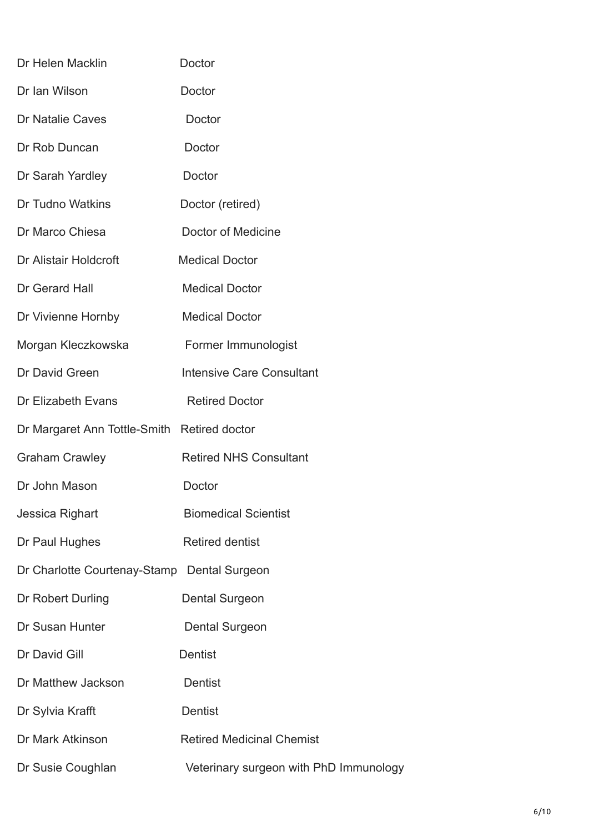| Dr Helen Macklin                            | Doctor                                 |
|---------------------------------------------|----------------------------------------|
| Dr Ian Wilson                               | Doctor                                 |
| <b>Dr Natalie Caves</b>                     | Doctor                                 |
| Dr Rob Duncan                               | Doctor                                 |
| Dr Sarah Yardley                            | Doctor                                 |
| Dr Tudno Watkins                            | Doctor (retired)                       |
| Dr Marco Chiesa                             | Doctor of Medicine                     |
| Dr Alistair Holdcroft                       | <b>Medical Doctor</b>                  |
| Dr Gerard Hall                              | <b>Medical Doctor</b>                  |
| Dr Vivienne Hornby                          | <b>Medical Doctor</b>                  |
| Morgan Kleczkowska                          | Former Immunologist                    |
| Dr David Green                              | <b>Intensive Care Consultant</b>       |
| Dr Elizabeth Evans                          | <b>Retired Doctor</b>                  |
| Dr Margaret Ann Tottle-Smith Retired doctor |                                        |
| <b>Graham Crawley</b>                       | <b>Retired NHS Consultant</b>          |
| Dr John Mason                               | Doctor                                 |
| Jessica Righart                             | <b>Biomedical Scientist</b>            |
| Dr Paul Hughes                              | <b>Retired dentist</b>                 |
| Dr Charlotte Courtenay-Stamp                | <b>Dental Surgeon</b>                  |
| Dr Robert Durling                           | Dental Surgeon                         |
| Dr Susan Hunter                             | Dental Surgeon                         |
| Dr David Gill                               | <b>Dentist</b>                         |
| Dr Matthew Jackson                          | Dentist                                |
| Dr Sylvia Krafft                            | <b>Dentist</b>                         |
| Dr Mark Atkinson                            | <b>Retired Medicinal Chemist</b>       |
| Dr Susie Coughlan                           | Veterinary surgeon with PhD Immunology |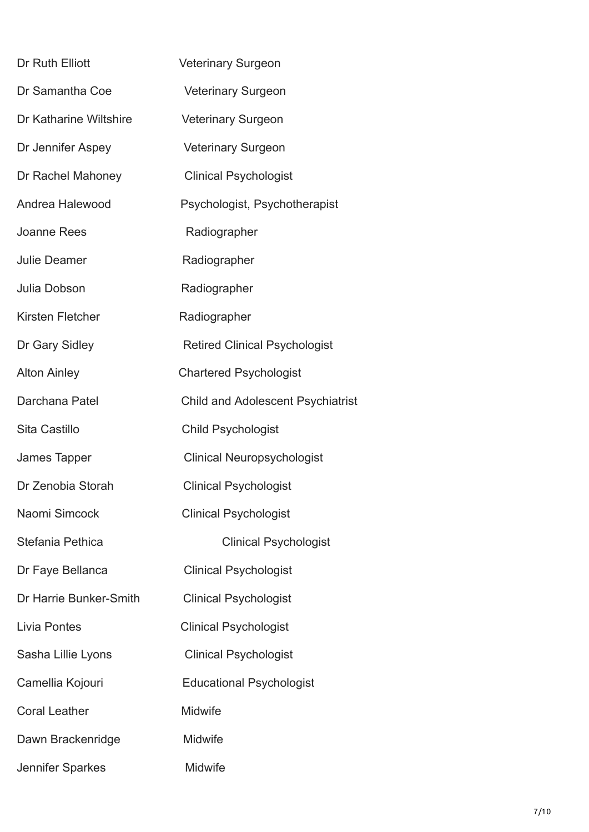| Dr Ruth Elliott        | Veterinary Surgeon                       |  |
|------------------------|------------------------------------------|--|
| Dr Samantha Coe        | <b>Veterinary Surgeon</b>                |  |
| Dr Katharine Wiltshire | <b>Veterinary Surgeon</b>                |  |
| Dr Jennifer Aspey      | <b>Veterinary Surgeon</b>                |  |
| Dr Rachel Mahoney      | <b>Clinical Psychologist</b>             |  |
| Andrea Halewood        | Psychologist, Psychotherapist            |  |
| <b>Joanne Rees</b>     | Radiographer                             |  |
| <b>Julie Deamer</b>    | Radiographer                             |  |
| Julia Dobson           | Radiographer                             |  |
| Kirsten Fletcher       | Radiographer                             |  |
| Dr Gary Sidley         | <b>Retired Clinical Psychologist</b>     |  |
| <b>Alton Ainley</b>    | <b>Chartered Psychologist</b>            |  |
| Darchana Patel         | <b>Child and Adolescent Psychiatrist</b> |  |
| Sita Castillo          | <b>Child Psychologist</b>                |  |
| James Tapper           | <b>Clinical Neuropsychologist</b>        |  |
| Dr Zenobia Storah      | <b>Clinical Psychologist</b>             |  |
| Naomi Simcock          | <b>Clinical Psychologist</b>             |  |
| Stefania Pethica       | <b>Clinical Psychologist</b>             |  |
| Dr Faye Bellanca       | <b>Clinical Psychologist</b>             |  |
| Dr Harrie Bunker-Smith | <b>Clinical Psychologist</b>             |  |
| Livia Pontes           | <b>Clinical Psychologist</b>             |  |
| Sasha Lillie Lyons     | <b>Clinical Psychologist</b>             |  |
| Camellia Kojouri       | <b>Educational Psychologist</b>          |  |
| <b>Coral Leather</b>   | <b>Midwife</b>                           |  |
| Dawn Brackenridge      | Midwife                                  |  |
| Jennifer Sparkes       | Midwife                                  |  |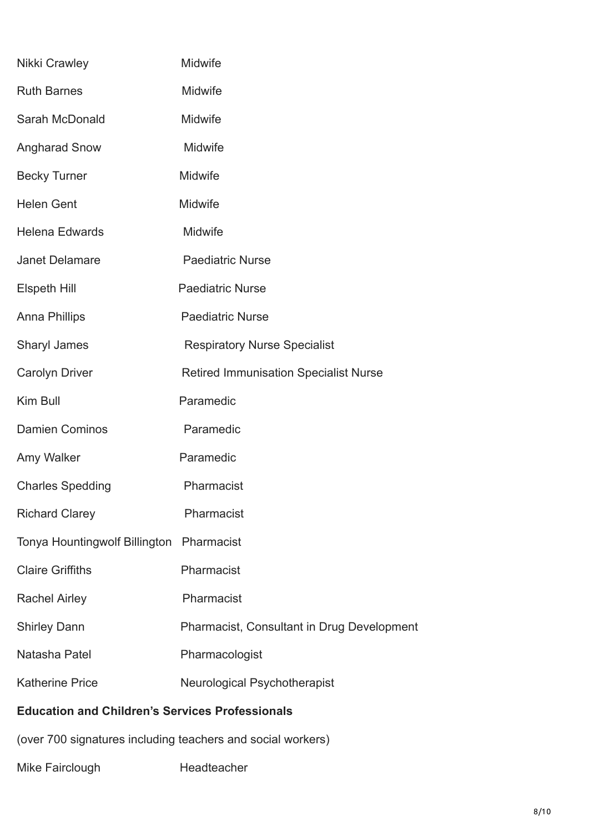| Nikki Crawley                                               | Midwife                                           |  |
|-------------------------------------------------------------|---------------------------------------------------|--|
| <b>Ruth Barnes</b>                                          | Midwife                                           |  |
| Sarah McDonald                                              | Midwife                                           |  |
| <b>Angharad Snow</b>                                        | Midwife                                           |  |
| <b>Becky Turner</b>                                         | Midwife                                           |  |
| <b>Helen Gent</b>                                           | Midwife                                           |  |
| <b>Helena Edwards</b>                                       | Midwife                                           |  |
| <b>Janet Delamare</b>                                       | <b>Paediatric Nurse</b>                           |  |
| <b>Elspeth Hill</b>                                         | <b>Paediatric Nurse</b>                           |  |
| <b>Anna Phillips</b>                                        | <b>Paediatric Nurse</b>                           |  |
| <b>Sharyl James</b>                                         | <b>Respiratory Nurse Specialist</b>               |  |
| <b>Carolyn Driver</b>                                       | <b>Retired Immunisation Specialist Nurse</b>      |  |
| Kim Bull                                                    | Paramedic                                         |  |
| <b>Damien Cominos</b>                                       | Paramedic                                         |  |
| Amy Walker                                                  | Paramedic                                         |  |
| <b>Charles Spedding</b>                                     | Pharmacist                                        |  |
| <b>Richard Clarey</b>                                       | Pharmacist                                        |  |
| Tonya Hountingwolf Billington Pharmacist                    |                                                   |  |
| <b>Claire Griffiths</b>                                     | Pharmacist                                        |  |
| <b>Rachel Airley</b>                                        | Pharmacist                                        |  |
| <b>Shirley Dann</b>                                         | <b>Pharmacist, Consultant in Drug Development</b> |  |
| Natasha Patel                                               | Pharmacologist                                    |  |
| <b>Katherine Price</b>                                      | Neurological Psychotherapist                      |  |
| <b>Education and Children's Services Professionals</b>      |                                                   |  |
| (over 700 signatures including teachers and social workers) |                                                   |  |

## Mike Fairclough Headteacher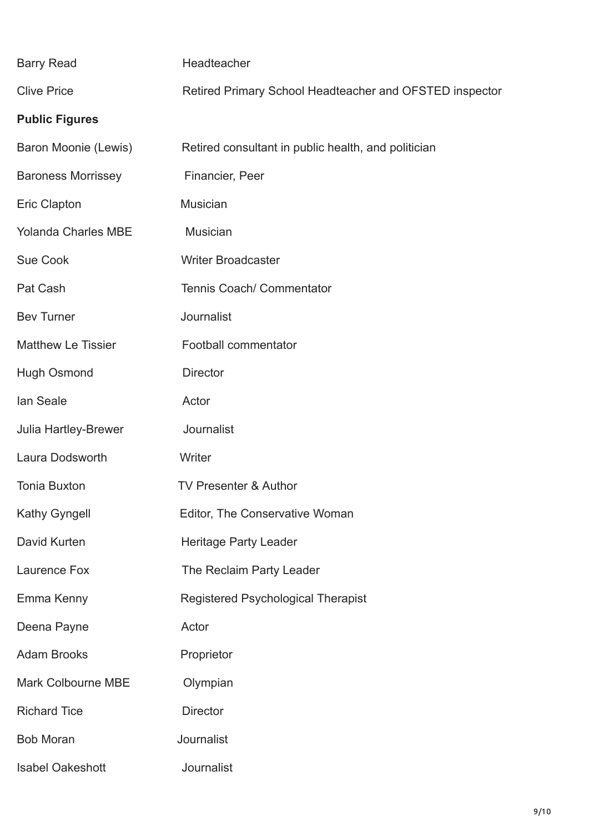| <b>Barry Read</b>          | Headteacher                                             |
|----------------------------|---------------------------------------------------------|
| <b>Clive Price</b>         | Retired Primary School Headteacher and OFSTED inspector |
| <b>Public Figures</b>      |                                                         |
| Baron Moonie (Lewis)       | Retired consultant in public health, and politician     |
| <b>Baroness Morrissey</b>  | Financier, Peer                                         |
| Eric Clapton               | Musician                                                |
| <b>Yolanda Charles MBE</b> | <b>Musician</b>                                         |
| <b>Sue Cook</b>            | <b>Writer Broadcaster</b>                               |
| Pat Cash                   | Tennis Coach/ Commentator                               |
| <b>Bev Turner</b>          | Journalist                                              |
| <b>Matthew Le Tissier</b>  | Football commentator                                    |
| <b>Hugh Osmond</b>         | <b>Director</b>                                         |
| lan Seale                  | Actor                                                   |
| Julia Hartley-Brewer       | Journalist                                              |
| Laura Dodsworth            | Writer                                                  |
| <b>Tonia Buxton</b>        | <b>TV Presenter &amp; Author</b>                        |
| Kathy Gyngell              | Editor, The Conservative Woman                          |
| David Kurten               | <b>Heritage Party Leader</b>                            |
| Laurence Fox               | The Reclaim Party Leader                                |
| Emma Kenny                 | <b>Registered Psychological Therapist</b>               |
| Deena Payne                | Actor                                                   |
| <b>Adam Brooks</b>         | Proprietor                                              |
| <b>Mark Colbourne MBE</b>  | Olympian                                                |
| <b>Richard Tice</b>        | <b>Director</b>                                         |
| <b>Bob Moran</b>           | Journalist                                              |
| <b>Isabel Oakeshott</b>    | Journalist                                              |